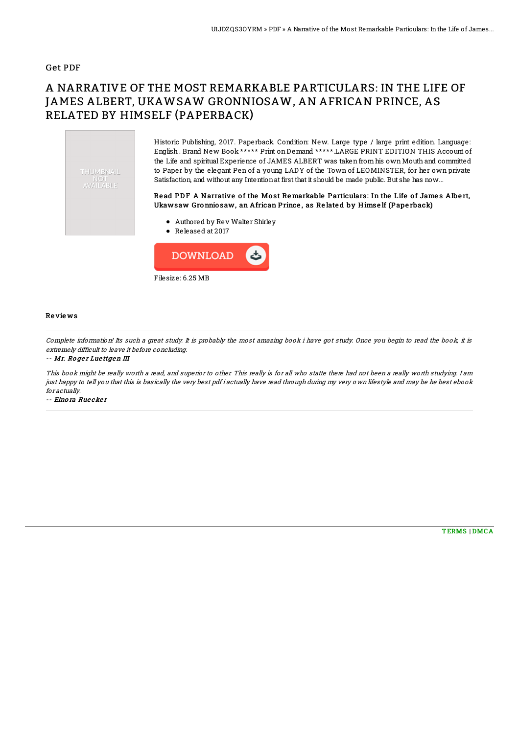## Get PDF

# A NARRATIVE OF THE MOST REMARKABLE PARTICULARS: IN THE LIFE OF JAMES ALBERT, UKAWSAW GRONNIOSAW, AN AFRICAN PRINCE, AS RELATED BY HIMSELF (PAPERBACK)



Historic Publishing, 2017. Paperback. Condition: New. Large type / large print edition. Language: English . Brand New Book \*\*\*\*\* Print on Demand \*\*\*\*\*.LARGE PRINT EDITION THIS Account of the Life and spiritual Experience of JAMES ALBERT was taken from his own Mouth and committed to Paper by the elegant Pen of a young LADY of the Town of LEOMINSTER, for her own private Satisfaction, and without any Intentionat first that it should be made public. But she has now...

### Read PDF A Narrative of the Most Remarkable Particulars: In the Life of James Albert, Ukawsaw Gronnio saw, an African Prince , as Re late d by H imse lf (Pape rback)

- Authored by Rev Walter Shirley
- Released at 2017



#### Re vie ws

Complete information! Its such <sup>a</sup> great study. It is probably the most amazing book i have got study. Once you begin to read the book, it is extremely difficult to leave it before concluding.

-- Mr. Roger Luettgen III

This book might be really worth a read, and superior to other. This really is for all who statte there had not been a really worth studying. I am just happy to tell you that this is basically the very best pdf i actually have read through during my very own lifestyle and may be he best ebook for actually.

-- Elnora Ruecker